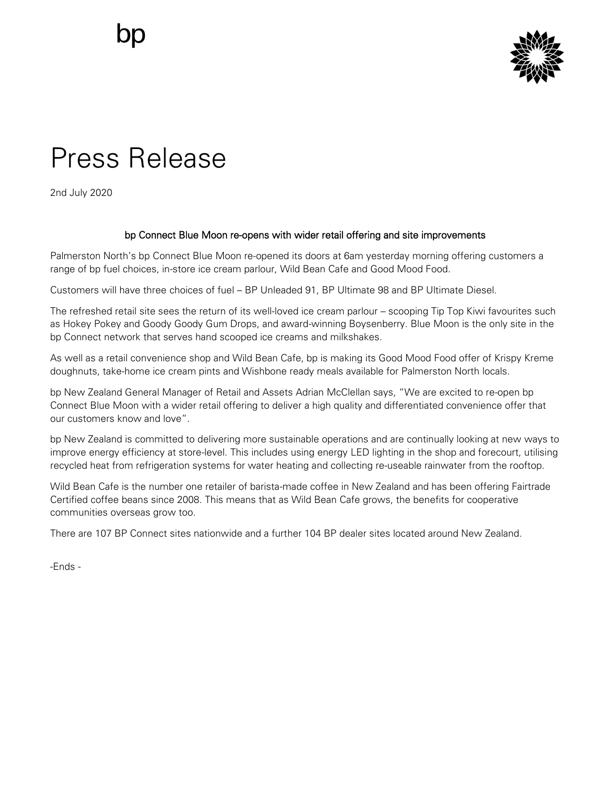

## Press Release

2nd July 2020

## bp Connect Blue Moon re-opens with wider retail offering and site improvements

Palmerston North's bp Connect Blue Moon re-opened its doors at 6am yesterday morning offering customers a range of bp fuel choices, in-store ice cream parlour, Wild Bean Cafe and Good Mood Food.

Customers will have three choices of fuel – BP Unleaded 91, BP Ultimate 98 and BP Ultimate Diesel.

The refreshed retail site sees the return of its well-loved ice cream parlour – scooping Tip Top Kiwi favourites such as Hokey Pokey and Goody Goody Gum Drops, and award-winning Boysenberry. Blue Moon is the only site in the bp Connect network that serves hand scooped ice creams and milkshakes.

As well as a retail convenience shop and Wild Bean Cafe, bp is making its Good Mood Food offer of Krispy Kreme doughnuts, take-home ice cream pints and Wishbone ready meals available for Palmerston North locals.

bp New Zealand General Manager of Retail and Assets Adrian McClellan says, "We are excited to re-open bp Connect Blue Moon with a wider retail offering to deliver a high quality and differentiated convenience offer that our customers know and love".

bp New Zealand is committed to delivering more sustainable operations and are continually looking at new ways to improve energy efficiency at store-level. This includes using energy LED lighting in the shop and forecourt, utilising recycled heat from refrigeration systems for water heating and collecting re-useable rainwater from the rooftop.

Wild Bean Cafe is the number one retailer of barista-made coffee in New Zealand and has been offering Fairtrade Certified coffee beans since 2008. This means that as Wild Bean Cafe grows, the benefits for cooperative communities overseas grow too.

There are 107 BP Connect sites nationwide and a further 104 BP dealer sites located around New Zealand.

-Ends -